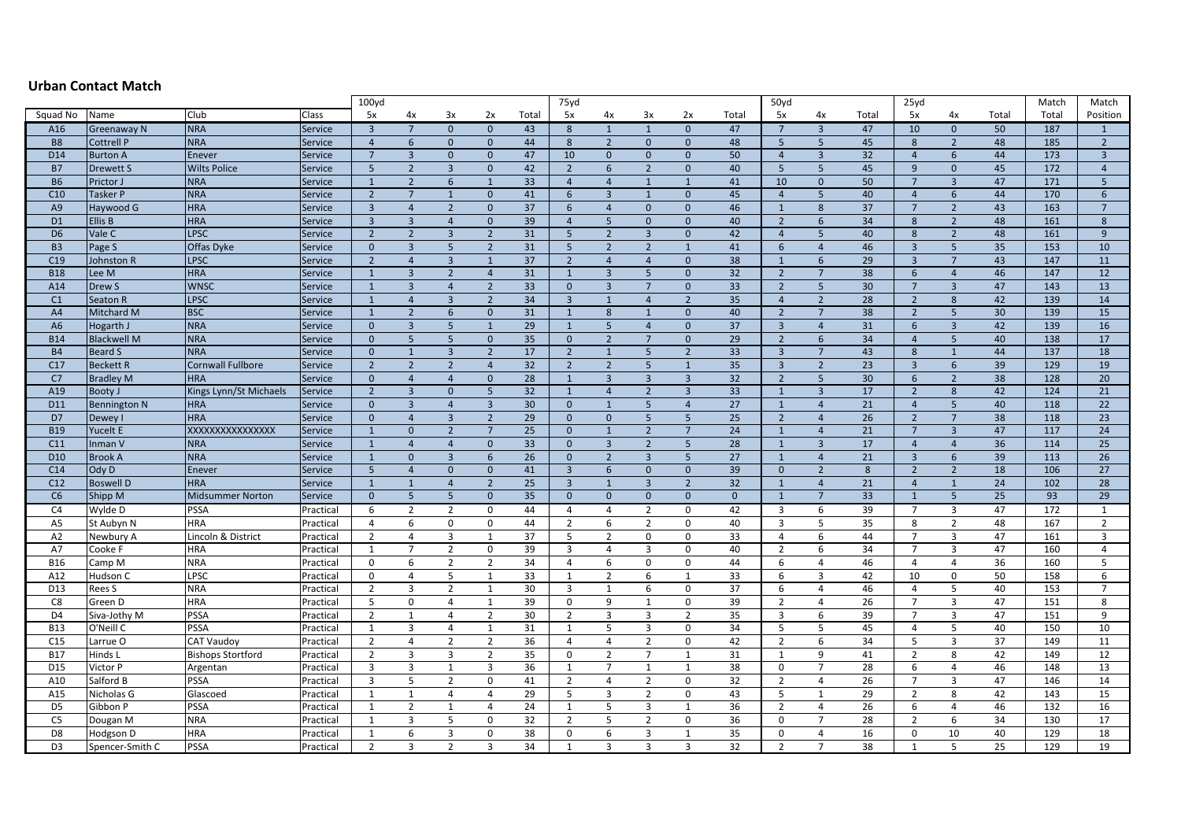## **Urban Contact Match**

|                 |                     |                          |                | 100 <sub>yd</sub> |                         |                |                |       | 75yd            |                 |                 |                 |          | 50yd                    |                 |                 | 25yd            |                |       | Match | Match           |
|-----------------|---------------------|--------------------------|----------------|-------------------|-------------------------|----------------|----------------|-------|-----------------|-----------------|-----------------|-----------------|----------|-------------------------|-----------------|-----------------|-----------------|----------------|-------|-------|-----------------|
| Squad No        | Name                | Club                     | Class          | 5x                | 4х                      | 3x             | 2x             | Total | 5x              | 4x              | 3x              | 2x              | Total    | 5x                      | 4x              | Total           | 5x              | 4x             | Total | Total | Position        |
| A16             | Greenaway N         | <b>NRA</b>               | Service        | $\overline{3}$    | $\overline{7}$          | $\mathbf{0}$   | $\mathbf{0}$   | 43    | 8               | $\mathbf{1}$    | $\overline{1}$  | $\mathbf{0}$    | 47       | $7\overline{ }$         | $\overline{3}$  | 47              | 10              | $\mathbf{0}$   | 50    | 187   | $\mathbf{1}$    |
| <b>B8</b>       | Cottrell P          | <b>NRA</b>               | Service        | $\overline{4}$    | 6                       | $\mathbf{0}$   | $\mathbf{0}$   | 44    | 8               | $\overline{2}$  | $\mathbf{0}$    | $\mathbf{0}$    | 48       | $5\phantom{.0}$         | $5\phantom{.0}$ | 45              | 8               | $\overline{2}$ | 48    | 185   | $\overline{2}$  |
| D14             | <b>Burton A</b>     | Enever                   | Service        | $7\overline{ }$   | $\overline{\mathbf{3}}$ | $\mathbf{0}$   | $\mathbf{0}$   | 47    | 10              | $\mathbf{0}$    | $\mathbf{0}$    | $\mathbf{0}$    | 50       | $\overline{4}$          | $\overline{3}$  | 32              | $\overline{4}$  | 6              | 44    | 173   | $\overline{3}$  |
| <b>B7</b>       | <b>Drewett S</b>    | <b>Wilts Police</b>      | Service        | 5                 | $\overline{2}$          | $\overline{3}$ | $\Omega$       | 42    | $\overline{2}$  | $6\overline{6}$ | $\overline{2}$  | $\mathbf{0}$    | 40       | 5                       | 5               | 45              | 9               | $\mathbf{0}$   | 45    | 172   | $\overline{4}$  |
| <b>B6</b>       | Prictor J           | <b>NRA</b>               | Service        | 1                 | $\overline{2}$          | 6              | $\mathbf{1}$   | 33    | $\overline{4}$  | $\overline{4}$  | 1               | $\mathbf{1}$    | 41       | 10                      | $\mathbf{0}$    | 50              | 7               | $\overline{3}$ | 47    | 171   | 5 <sup>1</sup>  |
| C10             | <b>Tasker P</b>     | <b>NRA</b>               | Service        | $\overline{2}$    | $\overline{7}$          | $\mathbf{1}$   | $\mathbf{0}$   | 41    | 6               | $\overline{3}$  | 1               | $\mathbf{0}$    | 45       | $\overline{4}$          | 5               | 40              | $\overline{4}$  | 6              | 44    | 170   | $6\overline{6}$ |
| A <sub>9</sub>  | Haywood G           | <b>HRA</b>               | Service        | $\overline{3}$    | $\overline{4}$          | $\overline{2}$ | $\mathbf 0$    | 37    | $6\overline{6}$ | $\overline{4}$  | $\mathbf{0}$    | $\mathbf{0}$    | 46       | $\mathbf{1}$            | $8\phantom{1}$  | 37              | $7\overline{ }$ | $\overline{2}$ | 43    | 163   | $7\overline{ }$ |
| D <sub>1</sub>  | Ellis B             | <b>HRA</b>               | <b>Service</b> | $\overline{3}$    | $\overline{3}$          | $\overline{4}$ | $\mathbf{0}$   | 39    | $\overline{4}$  | 5               | $\mathbf{0}$    | $\mathbf{0}$    | 40       | $\overline{2}$          | 6               | 34              | $\bf 8$         | $2^{\circ}$    | 48    | 161   | $8\phantom{1}$  |
| D <sub>6</sub>  | Vale <sub>C</sub>   | LPSC                     | Service        | $\overline{2}$    | $\overline{2}$          | $\overline{3}$ | $\overline{2}$ | 31    | 5 <sup>5</sup>  | $\overline{2}$  | $\overline{3}$  | $\mathbf{0}$    | 42       | $\overline{4}$          | 5 <sup>5</sup>  | 40              | $\bf 8$         | $2^{\circ}$    | 48    | 161   | 9 <sup>°</sup>  |
| B <sub>3</sub>  | Page S              | Offas Dyke               | Service        | $\mathbf{0}$      | $\overline{3}$          | 5              | $\overline{2}$ | 31    | 5 <sup>5</sup>  | $\overline{2}$  | $\overline{2}$  | $\mathbf{1}$    | 41       | 6                       | $\overline{4}$  | 46              | $\overline{3}$  | 5 <sup>5</sup> | 35    | 153   | 10              |
| C19             | Johnston R          | LPSC                     | Service        | $\overline{2}$    | $\overline{4}$          | $\overline{3}$ | $\mathbf{1}$   | 37    | $\overline{2}$  | $\overline{4}$  | $\overline{4}$  | $\mathbf{0}$    | 38       | $\mathbf{1}$            | 6               | 29              | $\overline{3}$  | $7^{\circ}$    | 43    | 147   | 11              |
| <b>B18</b>      | Lee M               | <b>HRA</b>               | <b>Service</b> | 1                 | $\overline{3}$          | $\overline{2}$ | $\overline{4}$ | 31    | $\mathbf{1}$    | $\overline{3}$  | $5\overline{5}$ | $\mathbf{0}$    | 32       | $\overline{2}$          | $7\overline{ }$ | 38              | 6               | $\overline{4}$ | 46    | 147   | 12              |
| A14             | Drew S              | <b>WNSC</b>              | <b>Service</b> | $\mathbf{1}$      | $\overline{3}$          | $\overline{4}$ | $\overline{2}$ | 33    | $\mathbf{0}$    | $\overline{3}$  | $7\overline{ }$ | $\overline{0}$  | 33       | $\overline{2}$          | 5               | 30 <sup>°</sup> | 7               | $\overline{3}$ | 47    | 143   | 13              |
| C <sub>1</sub>  | Seaton R            | LPSC                     | Service        | $\mathbf{1}$      | $\overline{4}$          | $\overline{3}$ | $\overline{2}$ | 34    | $\overline{3}$  | $\mathbf{1}$    | $\overline{4}$  | $\overline{2}$  | 35       | $\overline{4}$          | $\overline{2}$  | 28              | $\overline{2}$  | 8              | 42    | 139   | 14              |
| A4              | Mitchard M          | <b>BSC</b>               | Service        | $\mathbf{1}$      | $\overline{2}$          | 6 <sup>1</sup> | $\mathbf{0}$   | 31    | $\mathbf{1}$    | 8               | $\mathbf{1}$    | $\mathbf{0}$    | 40       | $\overline{2}$          | $7\overline{ }$ | 38              | $\overline{2}$  | 5 <sup>5</sup> | 30    | 139   | 15              |
| A6              | Hogarth J           | <b>NRA</b>               | <b>Service</b> | $\mathbf{0}$      | $\overline{3}$          | 5              | $\overline{1}$ | 29    | $\mathbf{1}$    | 5               | $\overline{4}$  | $\overline{0}$  | 37       | $\overline{\mathbf{3}}$ | $\overline{4}$  | 31              | 6               | $\overline{3}$ | 42    | 139   | 16              |
| <b>B14</b>      | <b>Blackwell M</b>  | <b>NRA</b>               | Service        | $\mathbf{0}$      | 5 <sup>5</sup>          | 5              | $\mathbf{0}$   | 35    | $\mathbf{0}$    | $\overline{2}$  | $7\overline{ }$ | $\mathbf{0}$    | 29       | $\overline{2}$          | 6               | 34              | $\overline{4}$  | 5 <sup>5</sup> | 40    | 138   | 17              |
| <b>B4</b>       | <b>Beard S</b>      | <b>NRA</b>               | Service        | $\mathbf{0}$      | $\mathbf{1}$            | $\overline{3}$ | $\overline{2}$ | 17    | $\overline{2}$  | $\mathbf{1}$    | 5               | $\overline{2}$  | 33       | $\overline{\mathbf{3}}$ | $7\overline{ }$ | 43              | 8               | $\overline{1}$ | 44    | 137   | 18              |
| C17             | <b>Beckett R</b>    | <b>Cornwall Fullbore</b> | Service        | $\overline{2}$    | $\overline{2}$          | $\overline{2}$ | $\overline{4}$ | 32    | $\overline{2}$  | $\overline{2}$  | $5\overline{)}$ | $\mathbf{1}$    | 35       | $\overline{3}$          | $\overline{2}$  | 23              | $\overline{3}$  | 6              | 39    | 129   | 19              |
| C7              | <b>Bradley M</b>    | <b>HRA</b>               | <b>Service</b> | $\mathbf{0}$      | $\overline{4}$          | $\overline{4}$ | $\mathbf{0}$   | 28    | $\mathbf{1}$    | $\overline{3}$  | $\overline{3}$  | $\overline{3}$  | 32       | $\overline{2}$          | 5               | 30              | 6               | $\overline{2}$ | 38    | 128   | 20              |
| A19             | <b>Booty J</b>      | Kings Lynn/St Michaels   | <b>Service</b> | $\overline{2}$    | $\overline{3}$          | $\mathbf{0}$   | 5              | 32    | $\mathbf{1}$    | $\overline{4}$  | $\overline{2}$  | $\overline{3}$  | 33       | $\mathbf{1}$            | $\overline{3}$  | 17              | $\overline{2}$  | 8              | 42    | 124   | 21              |
| D11             | <b>Bennington N</b> | <b>HRA</b>               | Service        | $\mathbf{0}$      | $\overline{3}$          | $\overline{4}$ | $\overline{3}$ | 30    | $\mathbf{0}$    | $\mathbf{1}$    | 5               | $\overline{4}$  | 27       | $\mathbf{1}$            | $\overline{4}$  | 21              | $\overline{4}$  | 5              | 40    | 118   | 22              |
| D7              | Dewey I             | <b>HRA</b>               | Service        | $\mathbf{0}$      | $\overline{4}$          | $\overline{3}$ | $\overline{2}$ | 29    | $\mathbf{0}$    | $\mathbf{0}$    | 5 <sup>1</sup>  | 5               | 25       | $\overline{2}$          | $\overline{4}$  | 26              | $\overline{2}$  | $\overline{7}$ | 38    | 118   | 23              |
| <b>B19</b>      | Yucelt E            | XXXXXXXXXXXXXXX          | Service        | $\mathbf{1}$      | $\mathbf{0}$            | $\overline{2}$ | $\overline{7}$ | 25    | $\mathbf{0}$    | $\overline{1}$  | $\overline{2}$  | $7\overline{ }$ | 24       | $\mathbf{1}$            | $\overline{4}$  | 21              | $7\overline{ }$ | $\overline{3}$ | 47    | 117   | 24              |
| C11             | Inman V             | <b>NRA</b>               | Service        | $\mathbf{1}$      | $\overline{4}$          | $\overline{4}$ | $\mathbf{0}$   | 33    | $\mathbf{0}$    | $\overline{3}$  | $\overline{2}$  | 5               | 28       | $\mathbf{1}$            | $\overline{3}$  | 17              | $\overline{4}$  | $\overline{4}$ | 36    | 114   | 25              |
| D <sub>10</sub> | <b>Brook A</b>      | <b>NRA</b>               | Service        | $\mathbf{1}$      | $\mathbf{0}$            | $\overline{3}$ | 6              | 26    | $\mathbf{0}$    | $\overline{2}$  | $\overline{3}$  | 5               | 27       | $\mathbf{1}$            | $\overline{4}$  | 21              | $\overline{3}$  | 6              | 39    | 113   | 26              |
| C14             | Ody D               | Enever                   | Service        | 5                 | $\overline{4}$          | $\mathbf{0}$   | $\mathbf{0}$   | 41    | $\overline{3}$  | 6               | $\mathbf{0}$    | $\mathbf{0}$    | 39       | $\mathbf{0}$            | $\overline{2}$  | 8               | $\overline{2}$  | $\overline{2}$ | 18    | 106   | 27              |
| C12             | <b>Boswell D</b>    | <b>HRA</b>               | Service        | 1                 | $\mathbf{1}$            | $\overline{4}$ | $\overline{2}$ | 25    | $\overline{3}$  | $\mathbf{1}$    | $\overline{3}$  | $\overline{2}$  | 32       | $\mathbf{1}$            | $\overline{4}$  | 21              | $\overline{4}$  | $\mathbf{1}$   | 24    | 102   | 28              |
| C6              | <b>Shipp M</b>      | <b>Midsummer Norton</b>  | <b>Service</b> | $\Omega$          | $\sqrt{5}$              | 5              | $\Omega$       | 35    | $\Omega$        | $\Omega$        | $\mathbf{0}$    | $\mathbf{0}$    | $\Omega$ | $\mathbf{1}$            | $\overline{7}$  | 33              | $\mathbf{1}$    | 5              | 25    | 93    | 29              |
| C <sub>4</sub>  | Wylde D             | PSSA                     | Practical      | 6                 | $\overline{2}$          | $\overline{2}$ | 0              | 44    | 4               | 4               | $\overline{2}$  | $\mathbf 0$     | 42       | 3                       | 6               | 39              | $\overline{7}$  | 3              | 47    | 172   | 1               |
| A <sub>5</sub>  | St Aubyn N          | <b>HRA</b>               | Practical      | 4                 | 6                       | 0              | $\mathbf 0$    | 44    | $\overline{2}$  | 6               | $\overline{2}$  | 0               | 40       | $\overline{3}$          | 5               | 35              | 8               | $\overline{2}$ | 48    | 167   | $\overline{2}$  |
| A <sub>2</sub>  | Newbury A           | Lincoln & District       | Practical      | $\overline{2}$    | $\overline{4}$          | $\overline{3}$ | $\mathbf{1}$   | 37    | 5               | $\overline{2}$  | $\mathbf 0$     | 0               | 33       | $\overline{4}$          | 6               | 44              | $\overline{7}$  | 3              | 47    | 161   | $\overline{3}$  |
| A7              | Cooke F             | HRA                      | Practical      | $\mathbf{1}$      | $\overline{7}$          | $\overline{2}$ | $\Omega$       | 39    | 3               | 4               | 3               | 0               | 40       | $\overline{2}$          | 6               | 34              | $7^{\circ}$     | 3              | 47    | 160   | $\overline{4}$  |
| <b>B16</b>      | Camp M              | <b>NRA</b>               | Practical      | $\mathbf 0$       | 6                       | $\overline{2}$ | $\overline{2}$ | 34    | $\overline{4}$  | 6               | 0               | $\mathbf 0$     | 44       | 6                       | 4               | 46              | $\overline{4}$  | 4              | 36    | 160   | 5               |
| A12             | Hudson C            | LPSC                     | Practical      | $\Omega$          | $\overline{4}$          | 5              | $\mathbf{1}$   | 33    | $\mathbf{1}$    | $\overline{2}$  | 6               | 1               | 33       | 6                       | 3               | 42              | 10              | $\mathbf 0$    | 50    | 158   | 6               |
| D13             | Rees S              | <b>NRA</b>               | Practical      | $\overline{2}$    | 3                       | $\overline{2}$ | $\mathbf{1}$   | 30    | 3               | $\mathbf{1}$    | 6               | $\mathbf 0$     | 37       | 6                       | 4               | 46              | 4               | 5              | 40    | 153   | $\overline{7}$  |
| C8              | Green D             | HRA                      | Practical      | 5                 | 0                       | $\overline{4}$ | $\mathbf{1}$   | 39    | 0               | q               | 1               | 0               | 39       | $\overline{2}$          | 4               | 26              | $\overline{7}$  | $\overline{3}$ | 47    | 151   | 8               |
| D <sub>4</sub>  | Siva-Jothy M        | PSSA                     | Practical      | $\overline{2}$    | $\mathbf{1}$            | $\overline{4}$ | $\overline{2}$ | 30    | $\overline{2}$  | $\overline{3}$  | 3               | $\overline{2}$  | 35       | $\overline{\mathbf{3}}$ | 6               | 39              | $\overline{7}$  | $\overline{3}$ | 47    | 151   | 9               |
| <b>B13</b>      | O'Neill C           | PSSA                     | Practical      | $\mathbf{1}$      | $\overline{3}$          | $\overline{4}$ | $\mathbf{1}$   | 31    | $\mathbf{1}$    | 5               | 3               | 0               | 34       | 5                       | 5               | 45              | $\overline{4}$  | 5              | 40    | 150   | 10              |
| C15             | Larrue O            | <b>CAT Vaudoy</b>        | Practical      | $\overline{2}$    | $\overline{4}$          | $\overline{2}$ | $\overline{2}$ | 36    | $\overline{4}$  | $\overline{4}$  | $\overline{2}$  | $\mathsf 0$     | 42       | $\overline{2}$          | 6               | 34              | 5               | $\overline{3}$ | 37    | 149   | 11              |
| <b>B17</b>      | Hinds L             | <b>Bishops Stortford</b> | Practical      | $\overline{2}$    | 3                       | 3              | $\overline{2}$ | 35    | $\mathbf 0$     | $\overline{2}$  | $7\overline{ }$ | $\mathbf{1}$    | 31       | $\mathbf{1}$            | 9               | 41              | $\overline{2}$  | 8              | 42    | 149   | 12              |
| D <sub>15</sub> | Victor P            | Argentan                 | Practical      | $\overline{3}$    | $\overline{3}$          | $\mathbf{1}$   | $\overline{3}$ | 36    | $\mathbf{1}$    | $\overline{7}$  | $\mathbf{1}$    | $\mathbf{1}$    | 38       | $\mathbf 0$             | $\overline{7}$  | 28              | 6               | $\overline{4}$ | 46    | 148   | 13              |
| A10             | Salford B           | PSSA                     | Practical      | 3                 | 5                       | $\overline{2}$ | $\mathbf 0$    | 41    | $\overline{2}$  | $\overline{4}$  | $\overline{2}$  | $\mathbf 0$     | 32       | $\overline{2}$          | 4               | 26              | $\overline{7}$  | 3              | 47    | 146   | 14              |
| A15             | Nicholas G          | Glascoed                 | Practical      | 1                 | 1                       | $\overline{4}$ | $\overline{4}$ | 29    | 5               | $\overline{3}$  | $\overline{2}$  | $\mathbf 0$     | 43       | 5                       | 1               | 29              | $\overline{2}$  | 8              | 42    | 143   | 15              |
| D <sub>5</sub>  | Gibbon P            | PSSA                     | Practical      | $\mathbf{1}$      | $\overline{2}$          | $\mathbf{1}$   | $\overline{4}$ | 24    | $\mathbf{1}$    | 5               | 3               | $\mathbf{1}$    | 36       | $\overline{2}$          | 4               | 26              | 6               | 4              | 46    | 132   | 16              |
| C <sub>5</sub>  | Dougan M            | <b>NRA</b>               | Practical      | $\mathbf{1}$      | $\overline{3}$          | 5              | $\mathbf 0$    | 32    | $\overline{2}$  | 5               | $\overline{2}$  | $\mathbf 0$     | 36       | $\mathbf 0$             | $\overline{7}$  | 28              | $\overline{2}$  | 6              | 34    | 130   | 17              |
| D <sub>8</sub>  | Hodgson D           | HRA                      | Practical      | $\mathbf{1}$      | 6                       | $\overline{3}$ | $\Omega$       | 38    | 0               | 6               | 3               | $\mathbf{1}$    | 35       | $\mathbf 0$             | 4               | 16              | $\mathbf 0$     | 10             | 40    | 129   | 18              |
| D <sub>3</sub>  | Spencer-Smith C     | PSSA                     | Practical      | $\overline{2}$    | $\overline{3}$          | $\overline{2}$ | 3              | 34    | $\mathbf{1}$    | 3               | $\overline{3}$  | $\overline{3}$  | 32       | $\overline{2}$          | $\overline{7}$  | 38              | $\mathbf{1}$    | 5              | 25    | 129   | 19              |